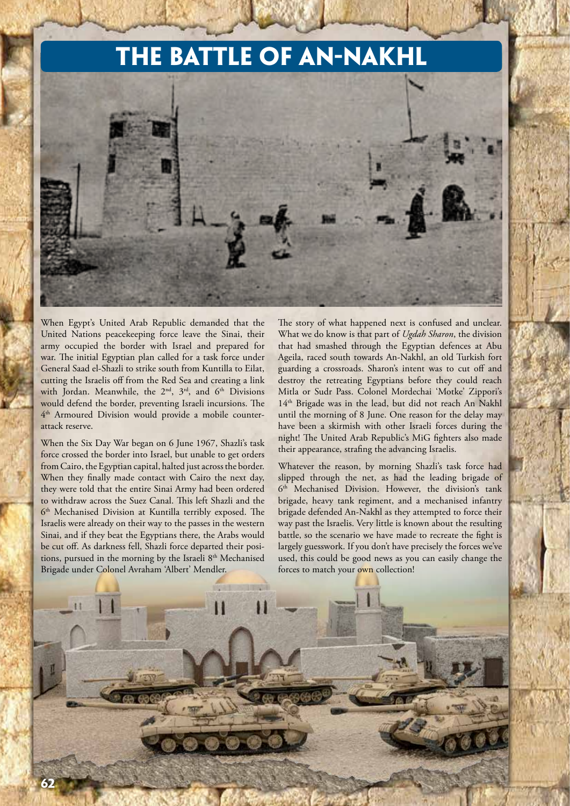## **The Battle of An-Nakhl**



When Egypt's United Arab Republic demanded that the United Nations peacekeeping force leave the Sinai, their army occupied the border with Israel and prepared for war. The initial Egyptian plan called for a task force under General Saad el-Shazli to strike south from Kuntilla to Eilat, cutting the Israelis off from the Red Sea and creating a link with Jordan. Meanwhile, the 2<sup>nd</sup>, 3<sup>rd</sup>, and 6<sup>th</sup> Divisions would defend the border, preventing Israeli incursions. The 4th Armoured Division would provide a mobile counterattack reserve.

When the Six Day War began on 6 June 1967, Shazli's task force crossed the border into Israel, but unable to get orders from Cairo, the Egyptian capital, halted just across the border. When they finally made contact with Cairo the next day, they were told that the entire Sinai Army had been ordered to withdraw across the Suez Canal. This left Shazli and the 6<sup>th</sup> Mechanised Division at Kuntilla terribly exposed. The Israelis were already on their way to the passes in the western Sinai, and if they beat the Egyptians there, the Arabs would be cut off. As darkness fell, Shazli force departed their positions, pursued in the morning by the Israeli 8<sup>th</sup> Mechanised Brigade under Colonel Avraham 'Albert' Mendler.

The story of what happened next is confused and unclear. What we do know is that part of *Ugdah Sharon*, the division that had smashed through the Egyptian defences at Abu Ageila, raced south towards An-Nakhl, an old Turkish fort guarding a crossroads. Sharon's intent was to cut off and destroy the retreating Egyptians before they could reach Mitla or Sudr Pass. Colonel Mordechai 'Motke' Zippori's 14<sup>th</sup> Brigade was in the lead, but did not reach An Nakhl until the morning of 8 June. One reason for the delay may have been a skirmish with other Israeli forces during the night! The United Arab Republic's MiG fighters also made their appearance, strafing the advancing Israelis.

Whatever the reason, by morning Shazli's task force had slipped through the net, as had the leading brigade of 6th Mechanised Division. However, the division's tank brigade, heavy tank regiment, and a mechanised infantry brigade defended An-Nakhl as they attempted to force their way past the Israelis. Very little is known about the resulting battle, so the scenario we have made to recreate the fight is largely guesswork. If you don't have precisely the forces we've used, this could be good news as you can easily change the forces to match your own collection!

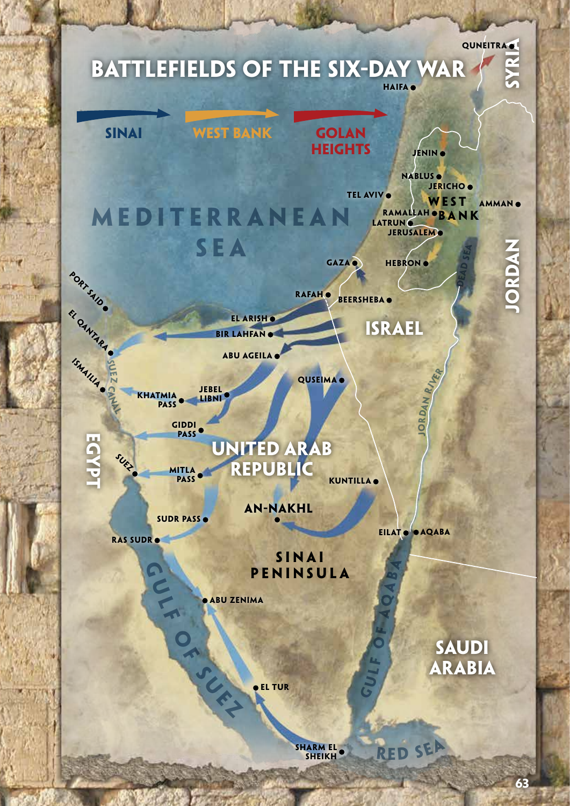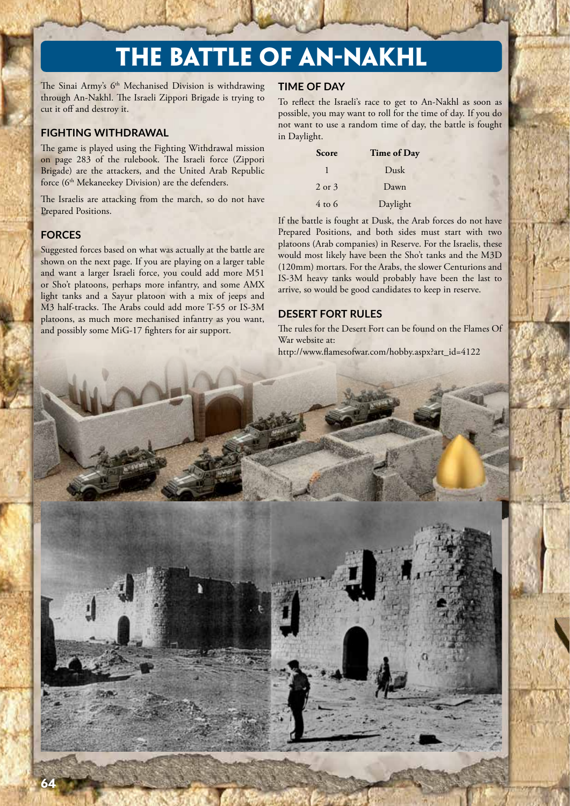# **The Battle of An-Nakhl**

The Sinai Army's 6<sup>th</sup> Mechanised Division is withdrawing through An-Nakhl. The Israeli Zippori Brigade is trying to cut it off and destroy it.

## **FIGHTING WITHDRAWAL**

The game is played using the Fighting Withdrawal mission on page 283 of the rulebook. The Israeli force (Zippori Brigade) are the attackers, and the United Arab Republic force (6<sup>th</sup> Mekaneekey Division) are the defenders.

The Israelis are attacking from the march, so do not have Prepared Positions.

## **FORCES**

Suggested forces based on what was actually at the battle are shown on the next page. If you are playing on a larger table and want a larger Israeli force, you could add more M51 or Sho't platoons, perhaps more infantry, and some AMX light tanks and a Sayur platoon with a mix of jeeps and M3 half-tracks. The Arabs could add more T-55 or IS-3M platoons, as much more mechanised infantry as you want, and possibly some MiG-17 fighters for air support.

#### **TIME OF DAY**

To reflect the Israeli's race to get to An-Nakhl as soon as possible, you may want to roll for the time of day. If you do not want to use a random time of day, the battle is fought in Daylight.

| <b>Score</b>      | Time of Day |
|-------------------|-------------|
|                   | Dusk        |
| $2$ or $3$        | Dawn        |
| $4 \text{ to } 6$ | Daylight    |

If the battle is fought at Dusk, the Arab forces do not have Prepared Positions, and both sides must start with two platoons (Arab companies) in Reserve. For the Israelis, these would most likely have been the Sho't tanks and the M3D (120mm) mortars. For the Arabs, the slower Centurions and IS-3M heavy tanks would probably have been the last to arrive, so would be good candidates to keep in reserve.

#### **DESERT FORT RULES**

The rules for the Desert Fort can be found on the Flames Of War website at:

http://www.flamesofwar.com/hobby.aspx?art\_id=4122